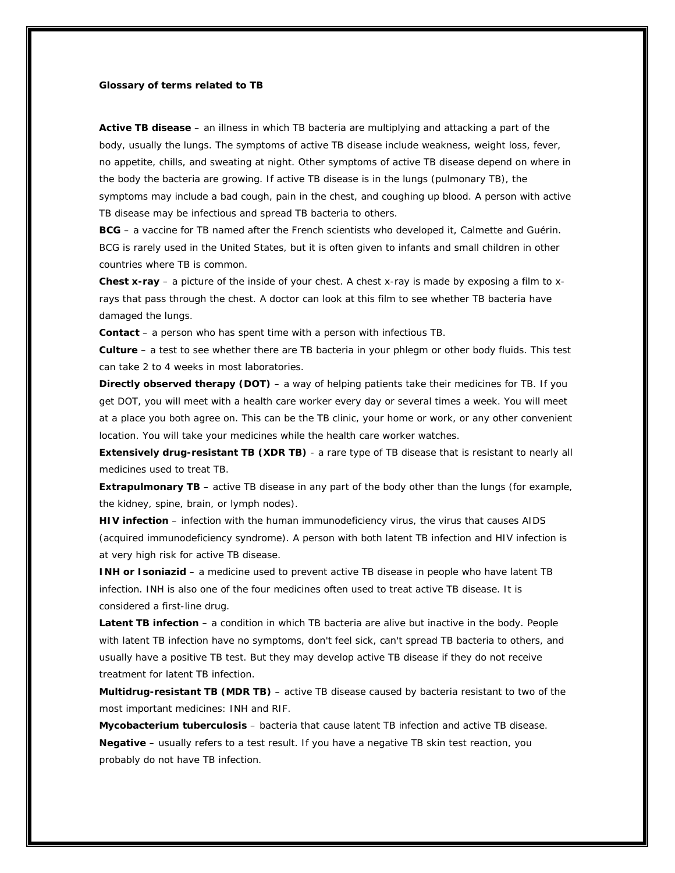## **Glossary of terms related to TB**

**Active TB disease** – an illness in which TB bacteria are multiplying and attacking a part of the body, usually the lungs. The symptoms of active TB disease include weakness, weight loss, fever, no appetite, chills, and sweating at night. Other symptoms of active TB disease depend on where in the body the bacteria are growing. If active TB disease is in the lungs (pulmonary TB), the symptoms may include a bad cough, pain in the chest, and coughing up blood. A person with active TB disease may be infectious and spread TB bacteria to others.

**BCG** – a vaccine for TB named after the French scientists who developed it, Calmette and Guérin. BCG is rarely used in the United States, but it is often given to infants and small children in other countries where TB is common.

**Chest x-ray** – a picture of the inside of your chest. A chest x-ray is made by exposing a film to xrays that pass through the chest. A doctor can look at this film to see whether TB bacteria have damaged the lungs.

**Contact** – a person who has spent time with a person with infectious TB.

**Culture** – a test to see whether there are TB bacteria in your phlegm or other body fluids. This test can take 2 to 4 weeks in most laboratories.

**Directly observed therapy (DOT)** – a way of helping patients take their medicines for TB. If you get DOT, you will meet with a health care worker every day or several times a week. You will meet at a place you both agree on. This can be the TB clinic, your home or work, or any other convenient location. You will take your medicines while the health care worker watches.

**Extensively drug-resistant TB (XDR TB)** - a rare type of TB disease that is resistant to nearly all medicines used to treat TB.

**Extrapulmonary TB** – active TB disease in any part of the body other than the lungs (for example, the kidney, spine, brain, or lymph nodes).

**HIV infection** – infection with the human immunodeficiency virus, the virus that causes AIDS (acquired immunodeficiency syndrome). A person with both latent TB infection and HIV infection is at very high risk for active TB disease.

**INH or Isoniazid** – a medicine used to prevent active TB disease in people who have latent TB infection. INH is also one of the four medicines often used to treat active TB disease. It is considered a first-line drug.

**Latent TB infection** – a condition in which TB bacteria are alive but inactive in the body. People with latent TB infection have no symptoms, don't feel sick, can't spread TB bacteria to others, and usually have a positive TB test. But they may develop active TB disease if they do not receive treatment for latent TB infection.

**Multidrug-resistant TB (MDR TB)** – active TB disease caused by bacteria resistant to two of the most important medicines: INH and RIF.

*Mycobacterium tuberculosis* – bacteria that cause latent TB infection and active TB disease. **Negative** – usually refers to a test result. If you have a negative TB skin test reaction, you probably do not have TB infection.